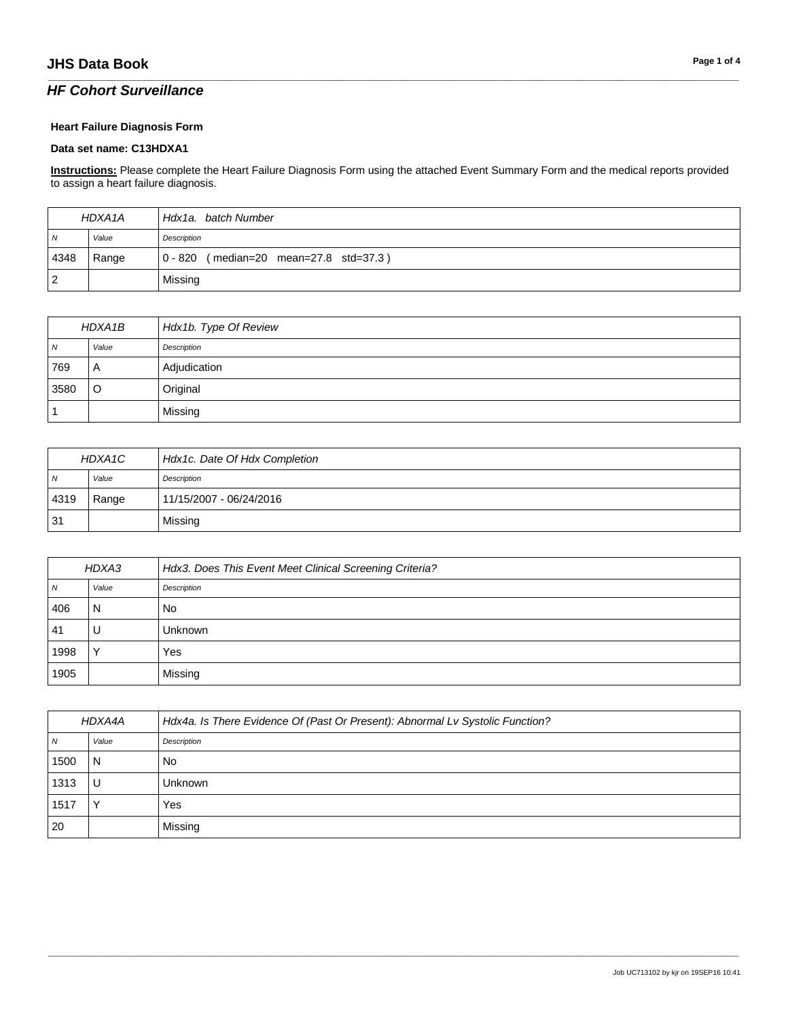### *HF Cohort Surveillance*

#### **Heart Failure Diagnosis Form**

#### **Data set name: C13HDXA1**

**Instructions:** Please complete the Heart Failure Diagnosis Form using the attached Event Summary Form and the medical reports provided to assign a heart failure diagnosis.

\_\_\_\_\_\_\_\_\_\_\_\_\_\_\_\_\_\_\_\_\_\_\_\_\_\_\_\_\_\_\_\_\_\_\_\_\_\_\_\_\_\_\_\_\_\_\_\_\_\_\_\_\_\_\_\_\_\_\_\_\_\_\_\_\_\_\_\_\_\_\_\_\_\_\_\_\_\_\_\_\_\_\_\_\_\_\_\_\_\_\_\_\_\_\_\_\_\_\_\_\_\_\_\_\_\_\_\_\_\_\_\_\_\_\_\_\_\_\_\_\_\_\_\_\_\_\_\_\_\_\_\_\_\_\_\_\_\_\_\_\_\_\_\_\_\_\_\_\_\_\_\_\_\_\_\_\_\_\_\_\_\_\_\_\_\_\_\_\_\_\_\_\_\_\_\_\_\_\_\_\_\_\_\_\_\_\_\_\_\_\_\_\_

| HDXA1A         |       | Hdx1a, batch Number                    |
|----------------|-------|----------------------------------------|
| $\overline{M}$ | Value | Description                            |
| 4348           | Range | 0 - 820 (median=20 mean=27.8 std=37.3) |
| $\overline{2}$ |       | Missing                                |

| HDXA1B     |         | Hdx1b. Type Of Review |
|------------|---------|-----------------------|
| $\sqrt{N}$ | Value   | Description           |
| 769        | A       | Adjudication          |
| 3580       | $\circ$ | Original              |
|            |         | Missing               |

| HDXA1C         |       | Hdx1c. Date Of Hdx Completion |
|----------------|-------|-------------------------------|
| $\overline{N}$ | Value | Description                   |
| 4319           | Range | 11/15/2007 - 06/24/2016       |
| 31             |       | Missing                       |

| HDXA3 |              | Hdx3. Does This Event Meet Clinical Screening Criteria? |
|-------|--------------|---------------------------------------------------------|
| N     | Value        | Description                                             |
| 406   | N            | <b>No</b>                                               |
| 41    | U            | Unknown                                                 |
| 1998  | $\checkmark$ | Yes                                                     |
| 1905  |              | Missing                                                 |

| HDXA4A         |       | Hdx4a. Is There Evidence Of (Past Or Present): Abnormal Lv Systolic Function? |
|----------------|-------|-------------------------------------------------------------------------------|
| $\overline{N}$ | Value | Description                                                                   |
| 1500           | N     | No.                                                                           |
| 1313           |       | Unknown                                                                       |
| 1517           |       | Yes                                                                           |
| 20             |       | Missing                                                                       |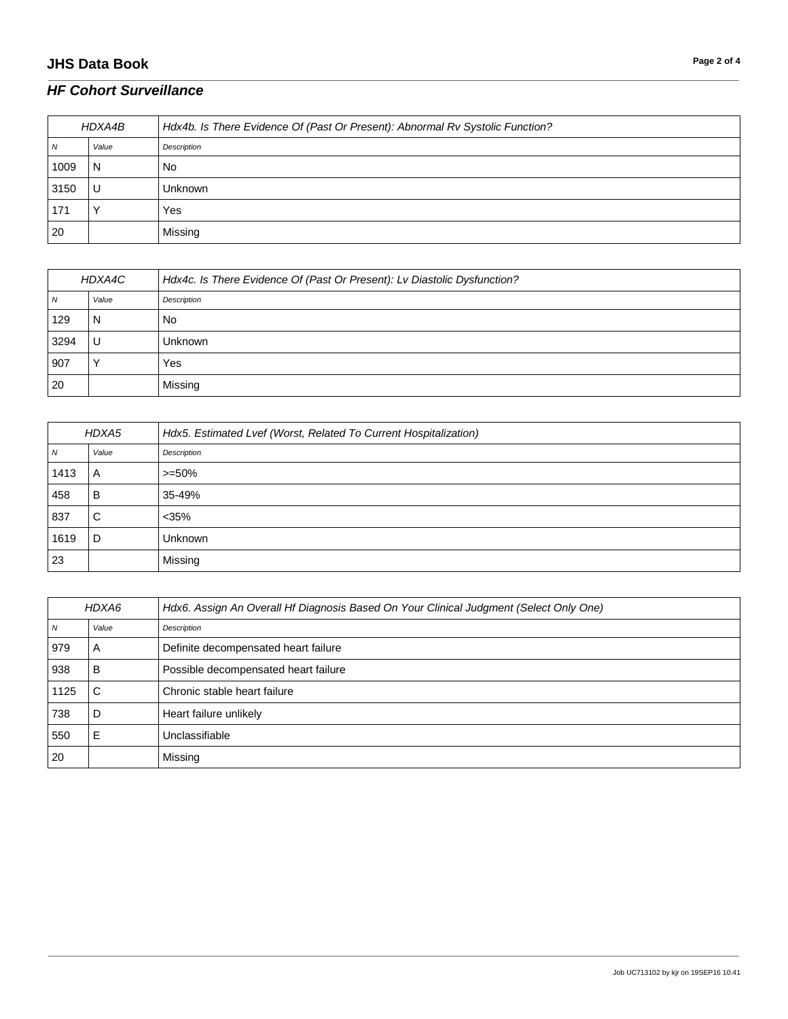# **JHS Data Book Page 2 of 4**

| HDXA4B |       | Hdx4b. Is There Evidence Of (Past Or Present): Abnormal Rv Systolic Function? |
|--------|-------|-------------------------------------------------------------------------------|
| N      | Value | Description                                                                   |
| 1009   | N     | No                                                                            |
| 3150   | U     | Unknown                                                                       |
| 171    |       | Yes                                                                           |
| 20     |       | Missing                                                                       |

\_\_\_\_\_\_\_\_\_\_\_\_\_\_\_\_\_\_\_\_\_\_\_\_\_\_\_\_\_\_\_\_\_\_\_\_\_\_\_\_\_\_\_\_\_\_\_\_\_\_\_\_\_\_\_\_\_\_\_\_\_\_\_\_\_\_\_\_\_\_\_\_\_\_\_\_\_\_\_\_\_\_\_\_\_\_\_\_\_\_\_\_\_\_\_\_\_\_\_\_\_\_\_\_\_\_\_\_\_\_\_\_\_\_\_\_\_\_\_\_\_\_\_\_\_\_\_\_\_\_\_\_\_\_\_\_\_\_\_\_\_\_\_\_\_\_\_\_\_\_\_\_\_\_\_\_\_\_\_\_\_\_\_\_\_\_\_\_\_\_\_\_\_\_\_\_\_\_\_\_\_\_\_\_\_\_\_\_\_\_\_\_\_

| HDXA4C |       | Hdx4c. Is There Evidence Of (Past Or Present): Lv Diastolic Dysfunction? |
|--------|-------|--------------------------------------------------------------------------|
| N      | Value | Description                                                              |
| 129    | N     | No                                                                       |
| 3294   | U     | Unknown                                                                  |
| 907    |       | Yes                                                                      |
| 20     |       | Missing                                                                  |

| HDXA5 |       | Hdx5. Estimated Lvef (Worst, Related To Current Hospitalization) |
|-------|-------|------------------------------------------------------------------|
| N     | Value | Description                                                      |
| 1413  | A     | $>= 50\%$                                                        |
| 458   | в     | 35-49%                                                           |
| 837   | С     | $<$ 35%                                                          |
| 1619  | D     | <b>Unknown</b>                                                   |
| 23    |       | Missing                                                          |

| HDXA6 |       | Hdx6. Assign An Overall Hf Diagnosis Based On Your Clinical Judgment (Select Only One) |
|-------|-------|----------------------------------------------------------------------------------------|
| N     | Value | Description                                                                            |
| 979   | A     | Definite decompensated heart failure                                                   |
| 938   | В     | Possible decompensated heart failure                                                   |
| 1125  | С     | Chronic stable heart failure                                                           |
| 738   | D     | Heart failure unlikely                                                                 |
| 550   | E     | Unclassifiable                                                                         |
| 20    |       | Missing                                                                                |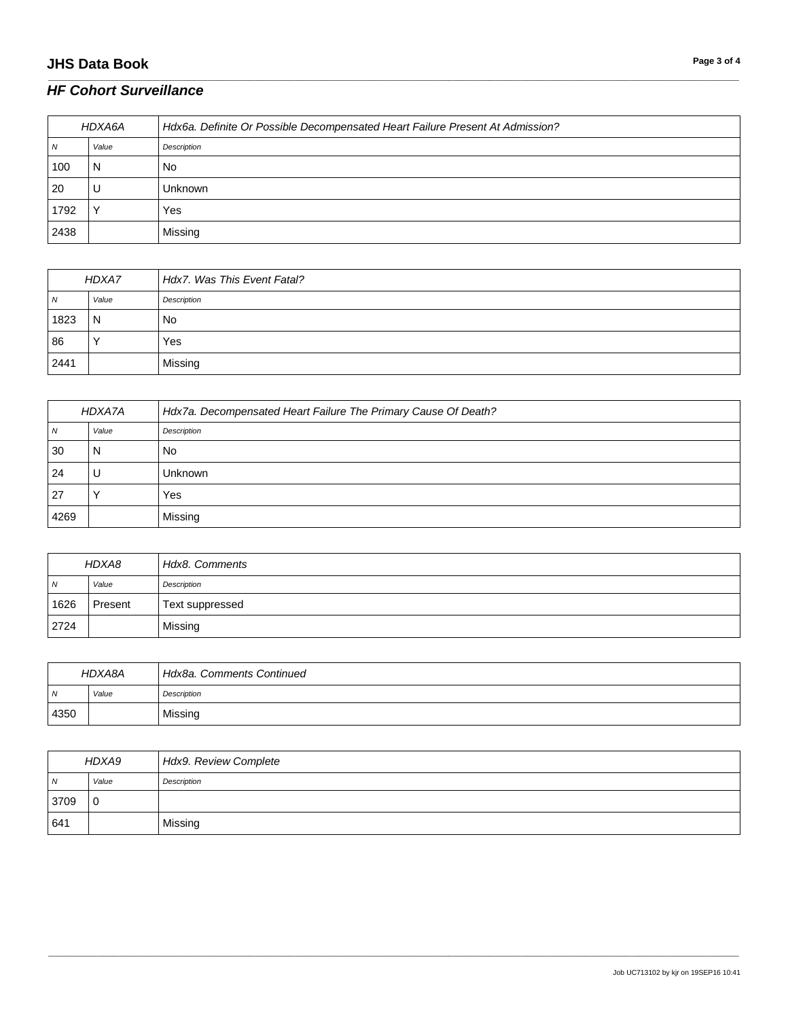# **JHS Data Book Page 3 of 4**

| HDXA6A |       | Hdx6a. Definite Or Possible Decompensated Heart Failure Present At Admission? |
|--------|-------|-------------------------------------------------------------------------------|
| N      | Value | Description                                                                   |
| 100    | N     | No                                                                            |
| 20     | U     | Unknown                                                                       |
| 1792   |       | Yes                                                                           |
| 2438   |       | Missing                                                                       |

\_\_\_\_\_\_\_\_\_\_\_\_\_\_\_\_\_\_\_\_\_\_\_\_\_\_\_\_\_\_\_\_\_\_\_\_\_\_\_\_\_\_\_\_\_\_\_\_\_\_\_\_\_\_\_\_\_\_\_\_\_\_\_\_\_\_\_\_\_\_\_\_\_\_\_\_\_\_\_\_\_\_\_\_\_\_\_\_\_\_\_\_\_\_\_\_\_\_\_\_\_\_\_\_\_\_\_\_\_\_\_\_\_\_\_\_\_\_\_\_\_\_\_\_\_\_\_\_\_\_\_\_\_\_\_\_\_\_\_\_\_\_\_\_\_\_\_\_\_\_\_\_\_\_\_\_\_\_\_\_\_\_\_\_\_\_\_\_\_\_\_\_\_\_\_\_\_\_\_\_\_\_\_\_\_\_\_\_\_\_\_\_\_

| HDXA7 |              | Hdx7. Was This Event Fatal? |
|-------|--------------|-----------------------------|
| N     | Value        | Description                 |
| 1823  | $\mathsf{N}$ | No                          |
| 86    |              | Yes                         |
| 2441  |              | Missing                     |

| HDXA7A |       | Hdx7a. Decompensated Heart Failure The Primary Cause Of Death? |
|--------|-------|----------------------------------------------------------------|
| N      | Value | Description                                                    |
| 30     | N     | No                                                             |
| 24     | U     | <b>Unknown</b>                                                 |
| 27     |       | Yes                                                            |
| 4269   |       | Missing                                                        |

| HDXA8          |         | Hdx8. Comments  |
|----------------|---------|-----------------|
| $\overline{N}$ | Value   | Description     |
| 1626           | Present | Text suppressed |
| 2724           |         | Missing         |

| HDXA8A     |       | Hdx8a, Comments Continued |
|------------|-------|---------------------------|
| $\sqrt{N}$ | Value | Description               |
| 4350       |       | Missing                   |

| HDXA9 |             | Hdx9. Review Complete |
|-------|-------------|-----------------------|
| N     | Value       | Description           |
| 3709  | $\mathbf 0$ |                       |
| 641   |             | Missing               |